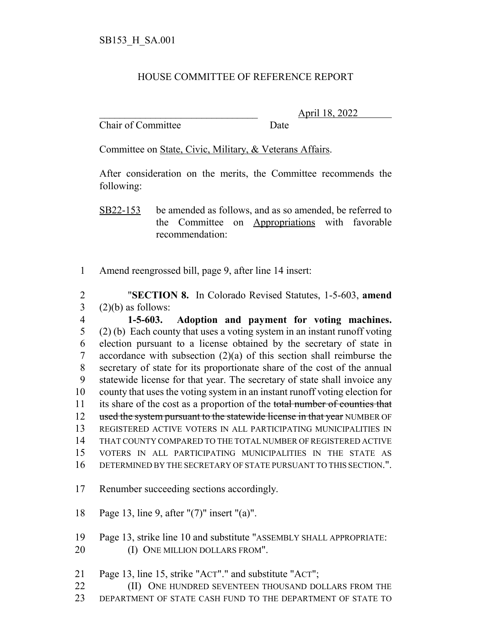## HOUSE COMMITTEE OF REFERENCE REPORT

Chair of Committee Date

\_\_\_\_\_\_\_\_\_\_\_\_\_\_\_\_\_\_\_\_\_\_\_\_\_\_\_\_\_\_\_ April 18, 2022

Committee on State, Civic, Military, & Veterans Affairs.

After consideration on the merits, the Committee recommends the following:

SB22-153 be amended as follows, and as so amended, be referred to the Committee on Appropriations with favorable recommendation:

Amend reengrossed bill, page 9, after line 14 insert:

 "**SECTION 8.** In Colorado Revised Statutes, 1-5-603, **amend** (2)(b) as follows:

 **1-5-603. Adoption and payment for voting machines.** (2) (b) Each county that uses a voting system in an instant runoff voting election pursuant to a license obtained by the secretary of state in accordance with subsection (2)(a) of this section shall reimburse the secretary of state for its proportionate share of the cost of the annual statewide license for that year. The secretary of state shall invoice any county that uses the voting system in an instant runoff voting election for 11 its share of the cost as a proportion of the total number of counties that 12 used the system pursuant to the statewide license in that year NUMBER OF REGISTERED ACTIVE VOTERS IN ALL PARTICIPATING MUNICIPALITIES IN THAT COUNTY COMPARED TO THE TOTAL NUMBER OF REGISTERED ACTIVE VOTERS IN ALL PARTICIPATING MUNICIPALITIES IN THE STATE AS DETERMINED BY THE SECRETARY OF STATE PURSUANT TO THIS SECTION.".

- Renumber succeeding sections accordingly.
- Page 13, line 9, after "(7)" insert "(a)".
- Page 13, strike line 10 and substitute "ASSEMBLY SHALL APPROPRIATE: 20 (I) ONE MILLION DOLLARS FROM".
- Page 13, line 15, strike "ACT"." and substitute "ACT";
- **(II)** ONE HUNDRED SEVENTEEN THOUSAND DOLLARS FROM THE
- DEPARTMENT OF STATE CASH FUND TO THE DEPARTMENT OF STATE TO